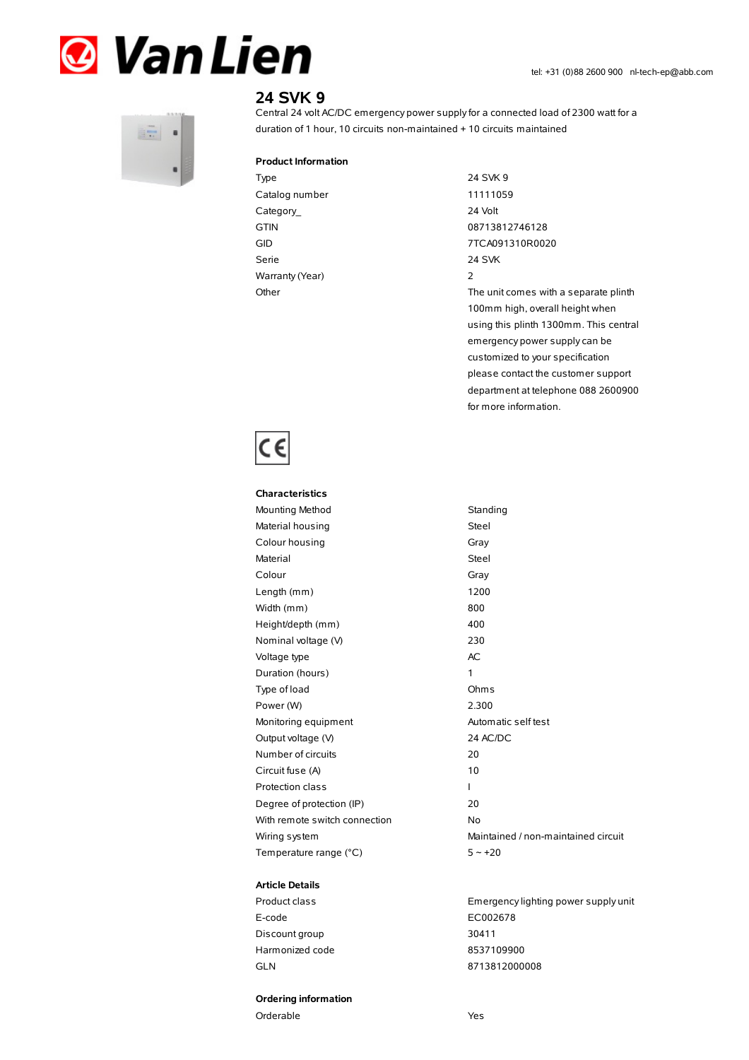



# **24 SVK 9**

Central 24 volt AC/DC emergency power supplyfor a connected load of 2300 watt for a duration of 1 hour, 10 circuits non-maintained + 10 circuits maintained

#### **Product Information**

Type 24 SVK 9 Catalog number 11111059 Category\_ 24 Volt GTIN 08713812746128 Serie 24 SVK Warranty(Year) 2

GID 7TCA091310R0020 Other The unit comes with a separate plinth 100mm high, overall height when using this plinth 1300mm. This central emergency power supplycan be customized to your specification please contact the customer support department at telephone 088 2600900 for more information.



## **Characteristics** Mounting Method Standing Material housing **Steel** Colour housing Gray Material Steel Colour Gray Length (mm) 1200 Width (mm) 800 Height/depth (mm) 400 Nominal voltage (V) 230 Voltage type and a set of the AC Duration (hours) 1 Type of load Ohms Power (W) 2.300 Monitoring equipment Automatic self test Output voltage (V) 24 AC/DC Number of circuits 20 Circuit fuse (A) 10 Protection class and a set of the set of the set of the set of the set of the set of the set of the set of the set of the set of the set of the set of the set of the set of the set of the set of the set of the set of the s Degree of protection (IP) 20 With remote switch connection No Wiring system **Maintained / non-maintained circuit** Temperature range  $(^{\circ}C)$  5 ~ +20

#### **Article Details**

E-code EC002678 Discount group 30411 Harmonized code 8537109900 GLN 8713812000008

### **Ordering information**

Orderable Yes

Product class Emergencylighting power supply unit